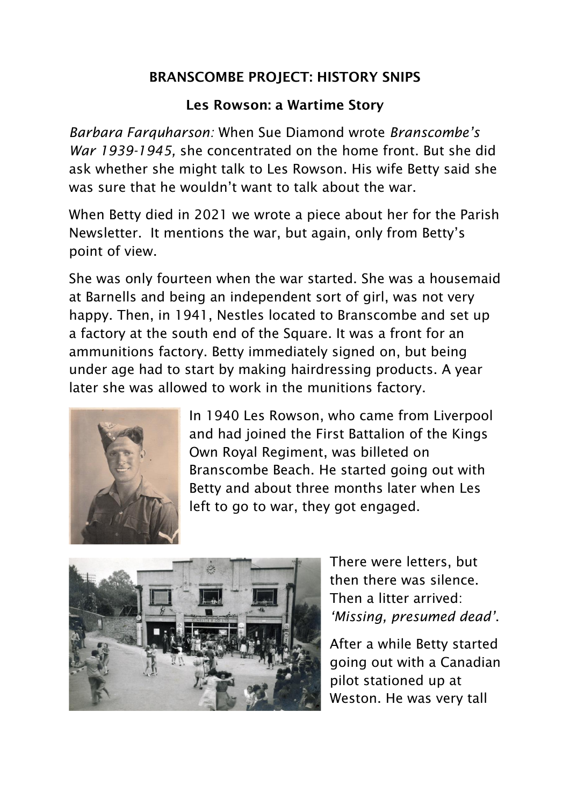## BRANSCOMBE PROJECT: HISTORY SNIPS

## Les Rowson: a Wartime Story

*Barbara Farquharson:* When Sue Diamond wrote *Branscombe's War 1939-1945,* she concentrated on the home front. But she did ask whether she might talk to Les Rowson. His wife Betty said she was sure that he wouldn't want to talk about the war.

When Betty died in 2021 we wrote a piece about her for the Parish Newsletter. It mentions the war, but again, only from Betty's point of view.

She was only fourteen when the war started. She was a housemaid at Barnells and being an independent sort of girl, was not very happy. Then, in 1941, Nestles located to Branscombe and set up a factory at the south end of the Square. It was a front for an ammunitions factory. Betty immediately signed on, but being under age had to start by making hairdressing products. A year later she was allowed to work in the munitions factory.



In 1940 Les Rowson, who came from Liverpool and had joined the First Battalion of the Kings Own Royal Regiment, was billeted on Branscombe Beach. He started going out with Betty and about three months later when Les left to go to war, they got engaged.



There were letters, but then there was silence. Then a litter arrived: *'Missing, presumed dead'*.

After a while Betty started going out with a Canadian pilot stationed up at Weston. He was very tall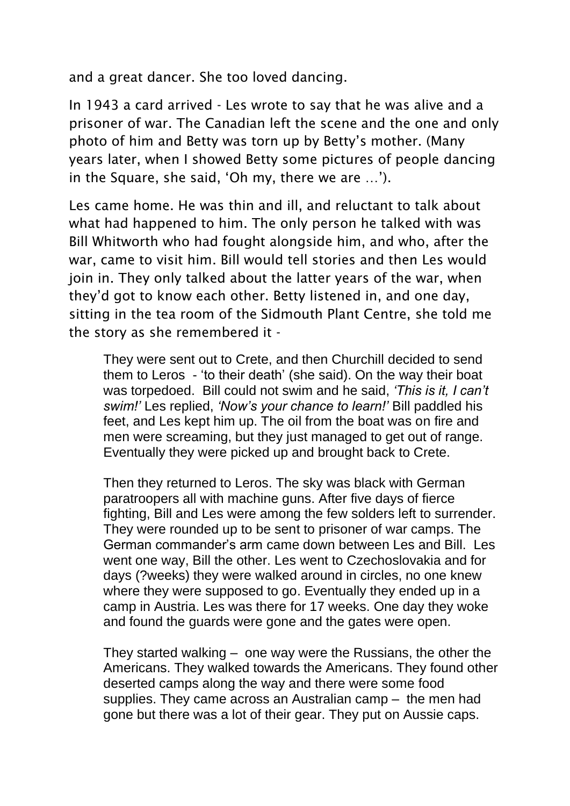and a great dancer. She too loved dancing.

In 1943 a card arrived - Les wrote to say that he was alive and a prisoner of war. The Canadian left the scene and the one and only photo of him and Betty was torn up by Betty's mother. (Many years later, when I showed Betty some pictures of people dancing in the Square, she said, 'Oh my, there we are …').

Les came home. He was thin and ill, and reluctant to talk about what had happened to him. The only person he talked with was Bill Whitworth who had fought alongside him, and who, after the war, came to visit him. Bill would tell stories and then Les would join in. They only talked about the latter years of the war, when they'd got to know each other. Betty listened in, and one day, sitting in the tea room of the Sidmouth Plant Centre, she told me the story as she remembered it -

They were sent out to Crete, and then Churchill decided to send them to Leros - 'to their death' (she said). On the way their boat was torpedoed. Bill could not swim and he said, *'This is it, I can't swim!'* Les replied, *'Now's your chance to learn!'* Bill paddled his feet, and Les kept him up. The oil from the boat was on fire and men were screaming, but they just managed to get out of range. Eventually they were picked up and brought back to Crete.

Then they returned to Leros. The sky was black with German paratroopers all with machine guns. After five days of fierce fighting, Bill and Les were among the few solders left to surrender. They were rounded up to be sent to prisoner of war camps. The German commander's arm came down between Les and Bill. Les went one way, Bill the other. Les went to Czechoslovakia and for days (?weeks) they were walked around in circles, no one knew where they were supposed to go. Eventually they ended up in a camp in Austria. Les was there for 17 weeks. One day they woke and found the guards were gone and the gates were open.

They started walking – one way were the Russians, the other the Americans. They walked towards the Americans. They found other deserted camps along the way and there were some food supplies. They came across an Australian camp – the men had gone but there was a lot of their gear. They put on Aussie caps.